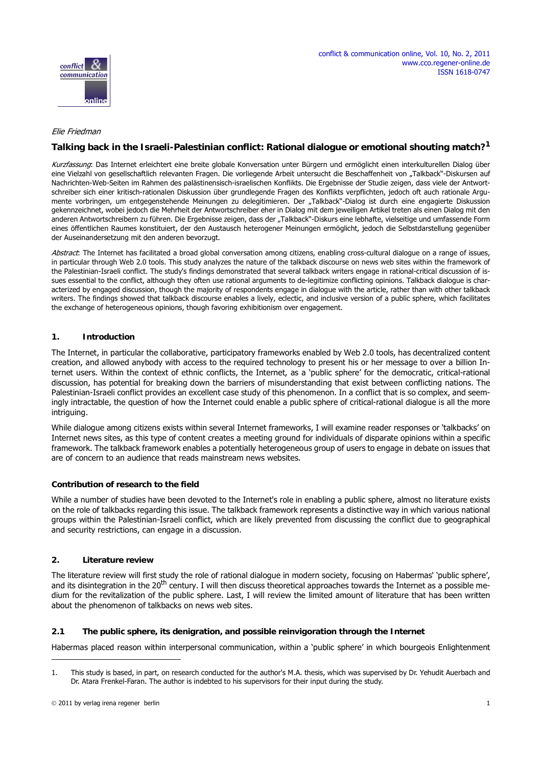

## Elie Friedman

online

conflict communication

# **Talking back in the Israeli-Palestinian conflict: Rational dialogue or emotional shouting match?<sup>1</sup>**

Kurzfassung: Das Internet erleichtert eine breite globale Konversation unter Bürgern und ermöglicht einen interkulturellen Dialog über eine Vielzahl von gesellschaftlich relevanten Fragen. Die vorliegende Arbeit untersucht die Beschaffenheit von "Talkback"-Diskursen auf Nachrichten-Web-Seiten im Rahmen des palästinensisch-israelischen Konflikts. Die Ergebnisse der Studie zeigen, dass viele der Antwortschreiber sich einer kritisch-rationalen Diskussion über grundlegende Fragen des Konflikts verpflichten, jedoch oft auch rationale Argumente vorbringen, um entgegenstehende Meinungen zu delegitimieren. Der "Talkback"-Dialog ist durch eine engagierte Diskussion gekennzeichnet, wobei jedoch die Mehrheit der Antwortschreiber eher in Dialog mit dem jeweiligen Artikel treten als einen Dialog mit den anderen Antwortschreibern zu führen. Die Ergebnisse zeigen, dass der "Talkback"-Diskurs eine lebhafte, vielseitige und umfassende Form eines öffentlichen Raumes konstituiert, der den Austausch heterogener Meinungen ermöglicht, jedoch die Selbstdarstellung gegenüber der Auseinandersetzung mit den anderen bevorzugt.

Abstract: The Internet has facilitated a broad global conversation among citizens, enabling cross-cultural dialogue on a range of issues, in particular through Web 2.0 tools. This study analyzes the nature of the talkback discourse on news web sites within the framework of the Palestinian-Israeli conflict. The study's findings demonstrated that several talkback writers engage in rational-critical discussion of issues essential to the conflict, although they often use rational arguments to de-legitimize conflicting opinions. Talkback dialogue is characterized by engaged discussion, though the majority of respondents engage in dialogue with the article, rather than with other talkback writers. The findings showed that talkback discourse enables a lively, eclectic, and inclusive version of a public sphere, which facilitates the exchange of heterogeneous opinions, though favoring exhibitionism over engagement.

#### **1. Introduction**

The Internet, in particular the collaborative, participatory frameworks enabled by Web 2.0 tools, has decentralized content creation, and allowed anybody with access to the required technology to present his or her message to over a billion Internet users. Within the context of ethnic conflicts, the Internet, as a 'public sphere' for the democratic, critical-rational [discussion, has potential for breaking down the barriers of misunderstanding that exist between conflicting nations. The](http://www.haaretz.com/hasen/spages/1016586.html) Palestinian-Israeli conflict provides an excellent case study of this phenomenon. In a conflict that is so complex, and seemingly intractable, the question of how the Internet could enable a public sphere of critical-rational dialogue is all the more intriguing.

While dialogue among citizens exists within several Internet frameworks, I will examine reader responses or 'talkbacks' on [Internet news sites, as this type of content creates a meeting ground for individuals of disparate opinions within a specific](http://www.haaretz.com/hasen/spages/1053428.html) [framework. The talkback framework enables a potentially heterogeneous group of users to engage in debate](http://www.haaretz.com/hasen/spages/1053428.html) [on issues that](http://www.haaretz.com/hasen/spages/928577.html) [are of concern to an audience that reads mainstream news websites.](http://www.haaretz.com/hasen/spages/928577.html) 

#### **Contribution of research to the field**

[While a number of studies have been devoted to the Internet's role in enabling a public sphere, almost no literature exists](http://www.haaretz.com/hasen/spages/1010812.html) on the role of talkbacks regarding this issue. The talkback framework represents a distinctive way in which various national [groups within the Palestinian-Israeli conflict, which are likely prevented from](http://www.haaretz.com/hasen/spages/1010812.html) [discussing the conflict due to geographical](http://english.aljazeera.net/focus/2008/12/20081229103924975479.html) [and security restrictions, can engage in a discussion.](http://english.aljazeera.net/focus/2008/12/20081229103924975479.html)

#### **2. Literature review**

[The literature review will first study the role of rational dialogue in modern society, focusing on Habermas' 'public sphere',](http://www.haaretz.com/hasen/spages/928577.html) and its disintegration in the 20<sup>th</sup> century. I will then discuss theoretical approaches towards the Internet as a possible me[dium for the revitalization of the public sphere. Last, I will review the limited amount of literature that has been written](http://www.haaretz.com/hasen/spages/1010812.html) about the phenomenon of talkbacks on news web sites.

# **2.1 The public sphere, its denigration, and possible reinvigoration through the Internet**

[Habermas placed reason within interpersonal communication, within a 'public sphere' in which bourgeois Enlightenment](http://www.haaretz.com/hasen/spages/928577.html)

<sup>1.</sup> This study is based, in part, on research conducted for the author's M.A. thesis, which was supervised by Dr. Yehudit Auerbach and Dr. Atara Frenkel-Faran. The author is indebted to his supervisors for their input during the study.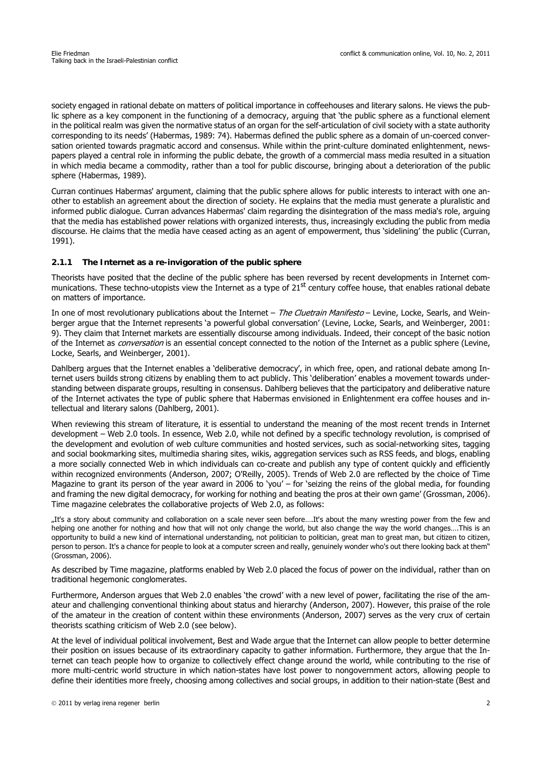[society engaged in rational debate on matters of political importance in coffeehouses and literary salons. He views the pub](http://www.haaretz.com/hasen/spages/928577.html)[lic sphere as a key component in the functioning of a democracy, arguing that 'the public sphere as a functional element](http://www.haaretz.com/hasen/spages/928577.html) [in the political realm was given the normative status of an organ for the self-articulation of civil society with a state authority](http://www.haaretz.com/hasen/spages/928577.html) [corresponding to its needs' \(Habermas, 1989: 74\). Habermas defined the public sphere as a domain of un-coerced conver](http://www.haaretz.com/hasen/spages/928577.html)[sation oriented towards pragmatic accord and consensus. While within the print-culture dominated enlightenment, news](http://www.haaretz.com/hasen/spages/928577.html)[papers played a central role in informing the public debate, the growth of a commercial mass media](http://www.haaretz.com/hasen/spages/928577.html) [resulted in a situation](http://www.haaretz.com/hasen/spages/1016586.html) [in which media became a commodity, rather than a tool for public discourse, bringing about a deterioration of the public](http://www.haaretz.com/hasen/spages/1016586.html) sphere (Habermas, 1989).

[Curran continues Habermas' argument, claiming that the public sphere allows for public interests to interact with one an](http://english.aljazeera.net/news/middleeast/2008/11/200811252372123312.html)other to establish an agreement about the direction of society. He explains that the media must generate a pluralistic and [informed public dialogue. Curran adv](http://english.aljazeera.net/news/middleeast/2008/11/200811252372123312.html)[ances Habermas' claim regarding the disintegration of the mass media's role, arguing](http://www.haaretz.com/hasen/spages/1035129.html) [that the media has established power relations with organized interests, thus, increasingly excluding the publi](http://www.haaretz.com/hasen/spages/1035129.html)[c from media](http://www.haaretz.com/hasen/spages/928577.html) [discourse. He claims that the media have ceased acting as an agent of empowerment, thus 'sidelining' the public \(Curran,](http://www.haaretz.com/hasen/spages/928577.html) 1991).

# **2.1.1 The Internet as a re-invigoration of the public sphere**

Theorists have posited that the decline of the public sphere has been reversed by recent developments in Internet communications. These techno-utopists view the Internet as a type of  $21^{st}$  century coffee house, that enables rational debate [on matters of importance.](http://www.haaretz.com/hasen/spages/928577.html) 

In one of most revolutionary publications about the Internet - The Cluetrain Manifesto - Levine, Locke, Searls, and Wein[berger argue that the Internet represents 'a powerful global conversation' \(Levine, Locke, Searls, and Weinberger, 2001:](http://www.haaretz.com/hasen/spages/1051317.html) 9). They claim that Internet markets are essentially discourse among individuals. Indeed, their concept of the basic notion [of the Internet as](http://www.haaretz.com/hasen/spages/1051317.html) *conversation* is an essential concept connected to the notion of the Internet as a public sphere (Levine, Locke, Searls, and Weinberger, 2001).

Dahlberg argues that the Internet enables a 'deliberative democracy', in which free, open, and rational debate among Internet users builds strong citizens by enabling them to act publicly. This 'deliberation' enables a movement towards understanding between disparate groups, resulting in consensus. Dahlberg believes that the participatory and deliberative nature of the Internet activates the type of public sphere that Habermas envisioned in Enlightenment era coffee houses and intellectual and literary salons (Dahlberg, 2001).

When reviewing this stream of literature, it is essential to understand the meaning of the most recent trends in Internet development – Web 2.0 tools. In essence, Web 2.0, while not defined by a specific technology revolution, is comprised of the development and evolution of web culture communities and hosted services, such as social-networking sites, tagging and social bookmarking sites, multimedia sharing sites, wikis, aggregation services such as RSS feeds, and blogs, enabling a more socially connected Web in which individuals can co-create and publish any type of content quickly and efficiently within recognized environments (Anderson, 2007; O'Reilly, 2005). Trends of Web 2.0 are reflected by the choice of Time Magazine to grant its person of the year award in 2006 to 'you' – for 'seizing the reins of the global media, for founding and framing the new digital democracy, for working for nothing and beating the pros at their own game' (Grossman, 2006). Time magazine celebrates the collaborative projects of Web 2.0, as follows:

"It's a story about community and collaboration on a scale never seen before….It's about the many wresting power from the few and helping one another for nothing and how that will not only change the world, but also change the way the world changes….This is an opportunity to build a new kind of international understanding, not politician to politician, great man to great man, but citizen to citizen, person to person. It's a chance for people to look at a computer screen and really, genuinely wonder who's out there looking back at them" (Grossman, 2006).

As described by Time magazine, platforms enabled by Web 2.0 placed the focus of power on the individual, rather than on traditional hegemonic conglomerates.

Furthermore, Anderson argues that Web 2.0 enables 'the crowd' with a new level of power, facilitating the rise of the amateur and challenging conventional thinking about status and hierarchy (Anderson, 2007). However, this praise of the role of the amateur in the creation of content within these environments (Anderson, 2007) serves as the very crux of certain theorists scathing criticism of Web 2.0 (see below).

At the level of individual political involvement, Best and Wade argue that the Internet can allow people to better determine their position on issues because of its extraordinary capacity to gather information. Furthermore, they argue that the Internet can teach people how to organize to collectively effect change around the world, while contributing to the rise of more multi-centric world structure in which nation-states have lost power to nongovernment actors, allowing people to define their identities more freely, choosing among collectives and social groups, in addition to their nation-state (Best and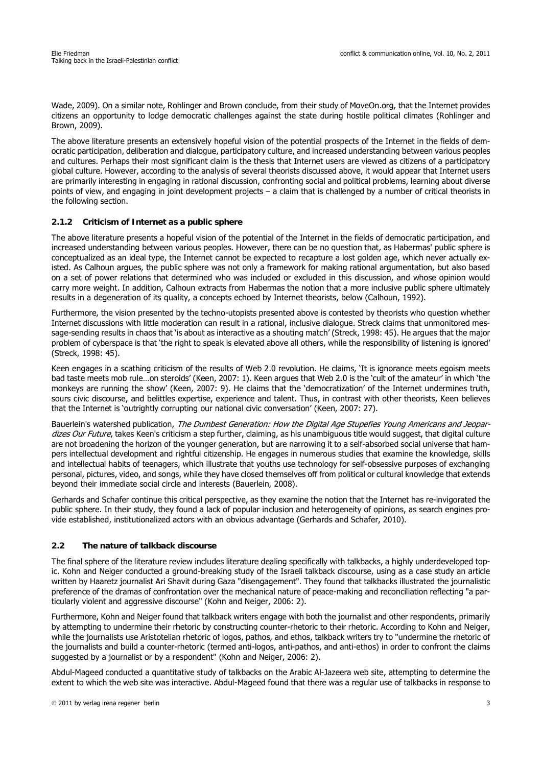Wade, 2009). On a similar note, Rohlinger and Brown conclude, from their study of MoveOn.org, that the Internet provides citizens an opportunity to lodge democratic challenges against the state during hostile political climates (Rohlinger and Brown, 2009).

The above literature presents an extensively hopeful vision of the potential prospects of the Internet in the fields of democratic participation, deliberation and dialogue, participatory culture, and increased understanding between various peoples and cultures. Perhaps their most significant claim is the thesis that Internet users are viewed as citizens of a participatory global culture. However, according to the analysis of several theorists discussed above, it would appear that Internet users are primarily interesting in engaging in rational discussion, confronting social and political problems, learning about diverse points of view, and engaging in joint development projects – a claim that is challenged by a number of critical theorists in the following section.

# **2.1.2 Criticism of Internet as a public sphere**

The above literature presents a hopeful vision of the potential of the Internet in the fields of democratic participation, and increased understanding between various peoples. However, there can be no question that, as Habermas' public sphere is conceptualized as an ideal type, the Internet cannot be expected to recapture a lost golden age, which never actually existed. As Calhoun argues, the public sphere was not only a framework for making rational argumentation, but also based on a set of power relations that determined who was included or excluded in this discussion, and whose opinion would carry more weight. In addition, Calhoun extracts from Habermas the notion that a more inclusive public sphere ultimately results in a degeneration of its quality, a concepts echoed by Internet theorists, below (Calhoun, 1992).

Furthermore, the vision presented by the techno-utopists presented above is contested by theorists who question whether Internet discussions with little moderation can result in a rational, inclusive dialogue. Streck claims that unmonitored message-sending results in chaos that 'is about as interactive as a shouting match' (Streck, 1998: 45). He argues that the major problem of cyberspace is that 'the right to speak is elevated above all others, while the responsibility of listening is ignored' (Streck, 1998: 45).

Keen engages in a scathing criticism of the results of Web 2.0 revolution. He claims, 'It is ignorance meets egoism meets bad taste meets mob rule…on steroids' (Keen, 2007: 1). Keen argues that Web 2.0 is the 'cult of the amateur' in which 'the monkeys are running the show' (Keen, 2007: 9). He claims that the 'democratization' of the Internet undermines truth, sours civic discourse, and belittles expertise, experience and talent. Thus, in contrast with other theorists, Keen believes that the Internet is 'outrightly corrupting our national civic conversation' (Keen, 2007: 27).

Bauerlein's watershed publication, The Dumbest Generation: How the Digital Age Stupefies Young Americans and Jeopardizes Our Future, takes Keen's criticism a step further, claiming, as his unambiguous title would suggest, that digital culture are not broadening the horizon of the younger generation, but are narrowing it to a self-absorbed social universe that hampers intellectual development and rightful citizenship. He engages in numerous studies that examine the knowledge, skills and intellectual habits of teenagers, which illustrate that youths use technology for self-obsessive purposes of exchanging personal, pictures, video, and songs, while they have closed themselves off from political or cultural knowledge that extends beyond their immediate social circle and interests (Bauerlein, 2008).

Gerhards and Schafer continue this critical perspective, as they examine the notion that the Internet has re-invigorated the public sphere. In their study, they found a lack of popular inclusion and heterogeneity of opinions, as search engines provide established, institutionalized actors with an obvious advantage (Gerhards and Schafer, 2010).

# **2.2 The nature of talkback discourse**

The final sphere of the literature review includes literature dealing specifically with talkbacks, a highly underdeveloped topic. Kohn and Neiger conducted a ground-breaking study of the Israeli talkback discourse, using as a case study an article written by Haaretz journalist Ari Shavit during Gaza "disengagement". They found that talkbacks illustrated the journalistic preference of the dramas of confrontation over the mechanical nature of peace-making and reconciliation reflecting "a particularly violent and aggressive discourse" (Kohn and Neiger, 2006: 2).

Furthermore, Kohn and Neiger found that talkback writers engage with both the journalist and other respondents, primarily by attempting to undermine their rhetoric by constructing counter-rhetoric to their rhetoric. According to Kohn and Neiger, while the journalists use Aristotelian rhetoric of logos, pathos, and ethos, talkback writers try to "undermine the rhetoric of the journalists and build a counter-rhetoric (termed anti-logos, anti-pathos, and anti-ethos) in order to confront the claims suggested by a journalist or by a respondent" (Kohn and Neiger, 2006: 2).

Abdul-Mageed conducted a quantitative study of talkbacks on the Arabic Al-Jazeera web site, attempting to determine the extent to which the web site was interactive. Abdul-Mageed found that there was a regular use of talkbacks in response to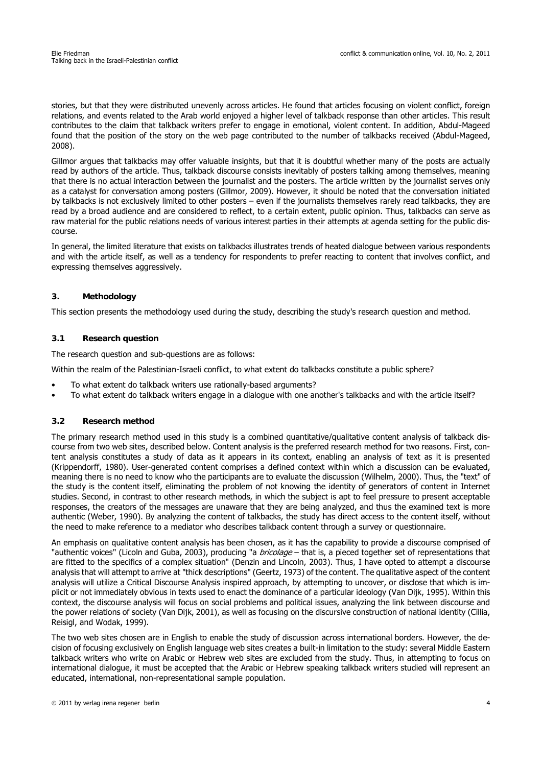stories, but that they were distributed unevenly across articles. He found that articles focusing on violent conflict, foreign relations, and events related to the Arab world enjoyed a higher level of talkback response than other articles. This result contributes to the claim that talkback writers prefer to engage in emotional, violent content. In addition, Abdul-Mageed found that the position of the story on the web page contributed to the number of talkbacks received (Abdul-Mageed, 2008).

Gillmor argues that talkbacks may offer valuable insights, but that it is doubtful whether many of the posts are actually read by authors of the article. Thus, talkback discourse consists inevitably of posters talking among themselves, meaning that there is no actual interaction between the journalist and the posters. The article written by the journalist serves only as a catalyst for conversation among posters (Gillmor, 2009). However, it should be noted that the conversation initiated by talkbacks is not exclusively limited to other posters – even if the journalists themselves rarely read talkbacks, they are read by a broad audience and are considered to reflect, to a certain extent, public opinion. Thus, talkbacks can serve as raw material for the public relations needs of various interest parties in their attempts at agenda setting for the public discourse.

In general, the limited literature that exists on talkbacks illustrates trends of heated dialogue between various respondents and with the article itself, as well as a tendency for respondents to prefer reacting to content that involves conflict, and expressing themselves aggressively.

## **3. Methodology**

This section presents the methodology used during the study, describing the study's research question and method.

## **3.1 Research question**

The research question and sub-questions are as follows:

Within the realm of the Palestinian-Israeli conflict, to what extent do talkbacks constitute a public sphere?

- To what extent do talkback writers use rationally-based arguments?
- To what extent do talkback writers engage in a dialogue with one another's talkbacks and with the article itself?

#### **3.2 Research method**

The primary research method used in this study is a combined quantitative/qualitative content analysis of talkback discourse from two web sites, described below. Content analysis is the preferred research method for two reasons. First, content analysis constitutes a study of data as it appears in its context, enabling an analysis of text as it is presented [\(Krippendorff, 1980\). User-generated content comprises a defined context within which a discussion can be evaluated,](http://www.haaretz.com/hasen/pages/ShArt.jhtml?itemNo=51345&contrassID=61&subContrassID=0&sbSubContrassID=0) meaning there is no need to know who the participants are to evaluate the discussion (Wilhelm, 2000). Thus, the "text" of the study is the content itself, eliminating the problem of not knowing the identity of generators of content in Internet studies. Second, in contrast to other research methods, in which the subject is apt to feel pressure to present acceptable responses, the creators of the messages are unaware that they are being analyzed, and thus the examined text is more authentic (Weber, 1990). By analyzing the content of talkbacks, the study has direct access to the content itself, without the need to make reference to a mediator who describes talkback content through a survey or questionnaire.

An emphasis on qualitative content analysis has been chosen, as it has the capability to provide a discourse comprised of "authentic voices" (Licoln and Guba, 2003), producing "a *bricolage* – that is, a pieced together set of representations that are fitted to the specifics of a complex situation" (Denzin and Lincoln, 2003). Thus, I have opted to attempt a discourse analysis that will attempt to arrive at "thick descriptions" (Geertz, 1973) of the content. The qualitative aspect of the content analysis will utilize a Critical Discourse Analysis inspired approach, by attempting to uncover, or disclose that which is implicit or not immediately obvious in texts used to enact the dominance of a particular ideology (Van Dijk, 1995). Within this context, the discourse analysis will focus on social problems and political issues, analyzing the link between discourse and the power relations of society (Van Dijk, 2001), as well as focusing on the discursive construction of national identity (Cillia, Reisigl, and Wodak, 1999).

The two web sites chosen are in English to enable the study of discussion across international borders. However, the decision of focusing exclusively on English language web sites creates a built-in limitation to the study: several Middle Eastern [talkback writers who write on Arabic or Hebrew web sites are excluded from the study. Thus, in attempting to focus on](http://www.time.com/time/magazine/article/0,9171,1569514,00.html) international dialogue, it must be accepted that the Arabic or Hebrew speaking talkback writers studied will represent an [educated, international, non-representational sample population.](http://www.time.com/time/magazine/article/0,9171,1569514,00.html)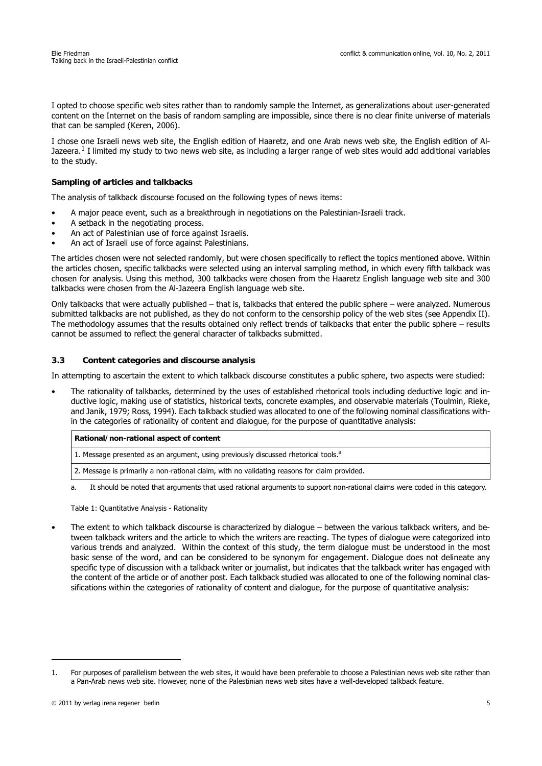I opted to choose specific web sites rather than to randomly sample the Internet, as generalizations about user-generated content on the Internet on the basis of random sampling are impossible, since there is no clear finite universe of materials that can be sampled (Keren, 2006).

I chose one Israeli news web site, the English edition of Haaretz, and one Arab news web site, the English edition of Al-Jazeera. $1$  I limited my study to two news web site, as including a larger range of web sites would add additional variables to the study.

### **Sampling of articles and talkbacks**

The analysis of talkback discourse focused on the following types of news items:

- A major peace event, such as a breakthrough in negotiations on the Palestinian-Israeli track.
- A setback in the negotiating process.
- An act of Palestinian use of force against Israelis.
- An act of Israeli use of force against Palestinians.

The articles chosen were not selected randomly, but were chosen specifically to reflect the topics mentioned above. Within the articles chosen, specific talkbacks were selected using an interval sampling method, in which every fifth talkback was chosen for analysis. Using this method, 300 talkbacks were chosen from the Haaretz English language web site and 300 talkbacks were chosen from the Al-Jazeera English language web site.

Only talkbacks that were actually published – that is, talkbacks that entered the public sphere – were analyzed. Numerous submitted talkbacks are not published, as they do not conform to the censorship policy of the web sites (see Appendix II). The methodology assumes that the results obtained only reflect trends of talkbacks that enter the public sphere – results cannot be assumed to reflect the general character of talkbacks submitted.

## **3.3 Content categories and discourse analysis**

In attempting to ascertain the extent to which talkback discourse constitutes a public sphere, two aspects were studied:

• The rationality of talkbacks, determined by the uses of established rhetorical tools including deductive logic and inductive logic, making use of statistics, historical texts, concrete examples, and observable materials (Toulmin, Rieke, and Janik, 1979; Ross, 1994). Each talkback studied was allocated to one of the following nominal classifications within the categories of rationality of content and dialogue, for the purpose of quantitative analysis:

| Rational/non-rational aspect of content                                                        |
|------------------------------------------------------------------------------------------------|
| 1. Message presented as an argument, using previously discussed rhetorical tools. <sup>a</sup> |
| 2. Message is primarily a non-rational claim, with no validating reasons for claim provided.   |

It should be noted that arguments that used rational arguments to support non-rational claims were coded in this category.

Table 1: Quantitative Analysis - Rationality

• The extent to which talkback discourse is characterized by dialogue – between the various talkback writers, and between talkback writers and the article to which the writers are reacting. The types of dialogue were categorized into various trends and analyzed. Within the context of this study, the term dialogue must be understood in the most basic sense of the word, and can be considered to be synonym for engagement. Dialogue does not delineate any specific type of discussion with a talkback writer or journalist, but indicates that the talkback writer has engaged with the content of the article or of another post. Each talkback studied was allocated to one of the following nominal classifications within the categories of rationality of content and dialogue, for the purpose of quantitative analysis:

<sup>1.</sup> For purposes of parallelism between the web sites, it would have been preferable to choose a Palestinian news web site rather than a Pan-Arab news web site. However, none of the Palestinian news web sites have a well-developed talkback feature.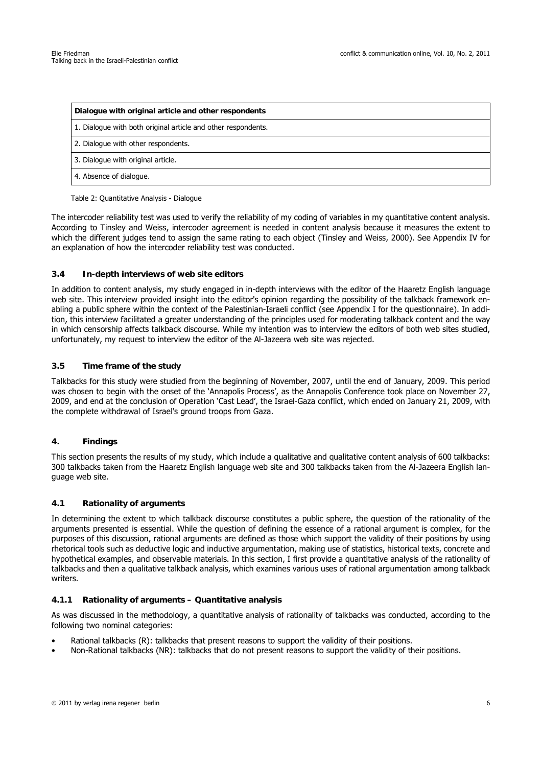| Dialogue with original article and other respondents          |  |
|---------------------------------------------------------------|--|
| 1. Dialogue with both original article and other respondents. |  |
| 2. Dialogue with other respondents.                           |  |
| 3. Dialogue with original article.                            |  |
| 4. Absence of dialogue.                                       |  |

Table 2: Quantitative Analysis - Dialogue

The intercoder reliability test was used to verify the reliability of my coding of variables in my quantitative content analysis. According to Tinsley and Weiss, intercoder agreement is needed in content analysis because it measures the extent to which the different judges tend to assign the same rating to each object (Tinsley and Weiss, 2000). See Appendix IV for an explanation of how the intercoder reliability test was conducted.

## **3.4 In-depth interviews of web site editors**

In addition to content analysis, my study engaged in in-depth interviews with the editor of the Haaretz English language web site. This interview provided insight into the editor's opinion regarding the possibility of the talkback framework enabling a public sphere within the context of the Palestinian-Israeli conflict (see Appendix I for the questionnaire). In addition, this interview facilitated a greater understanding of the principles used for moderating talkback content and the way in which censorship affects talkback discourse. While my intention was to interview the editors of both web sites studied, unfortunately, my request to interview the editor of the Al-Jazeera web site was rejected.

## **3.5 Time frame of the study**

Talkbacks for this study were studied from the beginning of November, 2007, until the end of January, 2009. This period was chosen to begin with the onset of the 'Annapolis Process', as the Annapolis Conference took place on November 27, 2009, and end at the conclusion of Operation 'Cast Lead', the Israel-Gaza conflict, which ended on January 21, 2009, with the complete withdrawal of Israel's ground troops from Gaza.

# **4. Findings**

This section presents the results of my study, which include a qualitative and qualitative content analysis of 600 talkbacks: 300 talkbacks taken from the Haaretz English language web site and 300 talkbacks taken from the Al-Jazeera English language web site.

### **4.1 Rationality of arguments**

In determining the extent to which talkback discourse constitutes a public sphere, the question of the rationality of the arguments presented is essential. While the question of defining the essence of a rational argument is complex, for the purposes of this discussion, rational arguments are defined as those which support the validity of their positions by using rhetorical tools such as deductive logic and inductive argumentation, making use of statistics, historical texts, concrete and hypothetical examples, and observable materials. In this section, I first provide a quantitative analysis of the rationality of talkbacks and then a qualitative talkback analysis, which examines various uses of rational argumentation among talkback writers.

#### **4.1.1 Rationality of arguments – Quantitative analysis**

As was discussed in the methodology, a quantitative analysis of rationality of talkbacks was conducted, according to the following two nominal categories:

- Rational talkbacks (R): talkbacks that present reasons to support the validity of their positions.
- Non-Rational talkbacks (NR): talkbacks that do not present reasons to support the validity of their positions.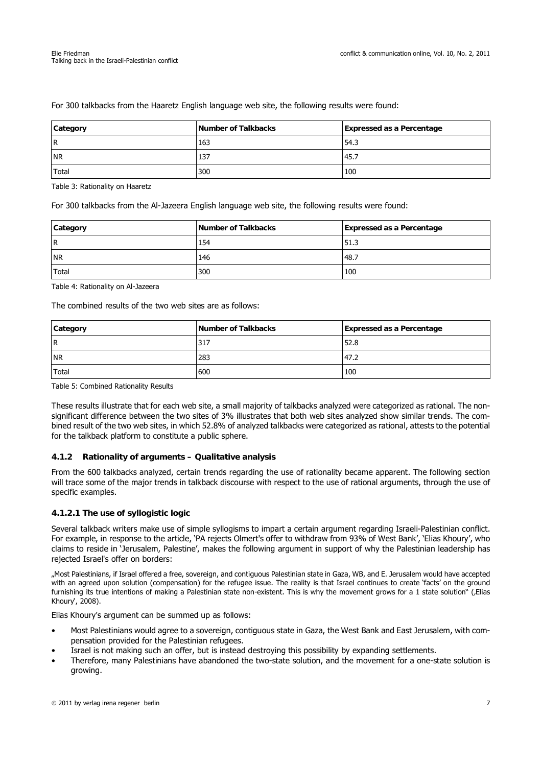| Category  | Number of Talkbacks | <b>Expressed as a Percentage</b> |
|-----------|---------------------|----------------------------------|
| <b>R</b>  | 163                 | 54.3                             |
| <b>NR</b> | 137                 | 45.7                             |
| Total     | 300                 | 100                              |

For 300 talkbacks from the Haaretz English language web site, the following results were found:

Table 3: Rationality on Haaretz

For 300 talkbacks from the Al-Jazeera English language web site, the following results were found:

| Category     | Number of Talkbacks | <b>Expressed as a Percentage</b> |
|--------------|---------------------|----------------------------------|
| l R          | 154                 | 51.3                             |
| <b>NR</b>    | 146                 | 148.7                            |
| <b>Total</b> | 300                 | 100                              |

Table 4: Rationality on Al-Jazeera

The combined results of the two web sites are as follows:

| Category  | Number of Talkbacks | <b>Expressed as a Percentage</b> |
|-----------|---------------------|----------------------------------|
| l R       | 317                 | 52.8                             |
| <b>NR</b> | 283                 | 47.2                             |
| Total     | 600                 | 100                              |

Table 5: Combined Rationality Results

These results illustrate that for each web site, a small majority of talkbacks analyzed were categorized as rational. The nonsignificant difference between the two sites of 3% illustrates that both web sites analyzed show similar trends. The combined result of the two web sites, in which 52.8% of analyzed talkbacks were categorized as rational, attests to the potential for the talkback platform to constitute a public sphere.

#### **4.1.2 Rationality of arguments – Qualitative analysis**

From the 600 talkbacks analyzed, certain trends regarding the use of rationality became apparent. The following section will trace some of the major trends in talkback discourse with respect to the use of rational arguments, through the use of specific examples.

# **4.1.2.1 The use of syllogistic logic**

Several talkback writers make use of simple syllogisms to impart a certain argument regarding Israeli-Palestinian conflict. For example, in response to the article, 'PA rejects Olmert's offer to withdraw from 93% of West Bank', 'Elias Khoury', who claims to reside in 'Jerusalem, Palestine', makes the following argument in support of why the Palestinian leadership has rejected Israel's offer on borders:

"Most Palestinians, if Israel offered a free, sovereign, and contiguous Palestinian state in Gaza, WB, and E. Jerusalem would have accepted with an agreed upon solution (compensation) for the refugee issue. The reality is that Israel continues to create 'facts' on the ground furnishing its true intentions of making a Palestinian state non-existent. This is why the movement grows for a 1 state solution" (Elias Khoury', 2008).

Elias Khoury's argument can be summed up as follows:

- Most Palestinians would agree to a sovereign, contiguous state in Gaza, the West Bank and East Jerusalem, with compensation provided for the Palestinian refugees.
- Israel is not making such an offer, but is instead destroying this possibility by expanding settlements.
- Therefore, many Palestinians have abandoned the two-state solution, and the movement for a one-state solution is growing.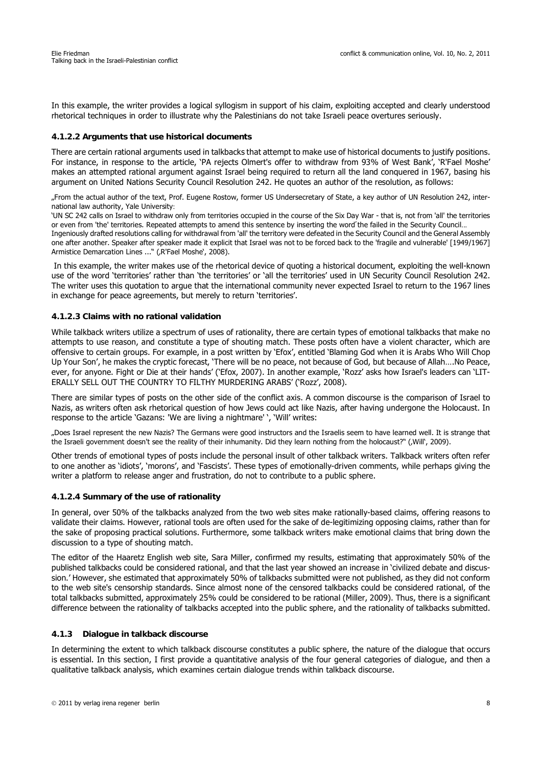In this example, the writer provides a logical syllogism in support of his claim, exploiting accepted and clearly understood rhetorical techniques in order to illustrate why the Palestinians do not take Israeli peace overtures seriously.

### **4.1.2.2 Arguments that use historical documents**

There are certain rational arguments used in talkbacks that attempt to make use of historical documents to justify positions. For instance, in response to the article, 'PA rejects Olmert's offer to withdraw from 93% of West Bank', 'R'Fael Moshe' makes an attempted rational argument against Israel being required to return all the land conquered in 1967, basing his argument on United Nations Security Council Resolution 242. He quotes an author of the resolution, as follows:

"From the actual author of the text, Prof. Eugene Rostow, former US Undersecretary of State, a key author of UN Resolution 242, international law authority, Yale University:

'UN SC 242 calls on Israel to withdraw only from territories occupied in the course of the Six Day War - that is, not from 'all' the territories or even from 'the' territories. Repeated attempts to amend this sentence by inserting the word ́the failed in the Security Council... Ingeniously drafted resolutions calling for withdrawal from 'all' the territory were defeated in the Security Council and the General Assembly one after another. Speaker after speaker made it explicit that Israel was not to be forced back to the 'fragile and vulnerable' [1949/1967] Armistice Demarcation Lines ..." (,R'Fael Moshe', 2008).

 In this example, the writer makes use of the rhetorical device of quoting a historical document, exploiting the well-known use of the word 'territories' rather than 'the territories' or 'all the territories' used in UN Security Council Resolution 242. The writer uses this quotation to argue that the international community never expected Israel to return to the 1967 lines in exchange for peace agreements, but merely to return 'territories'.

## **4.1.2.3 Claims with no rational validation**

While talkback writers utilize a spectrum of uses of rationality, there are certain types of emotional talkbacks that make no attempts to use reason, and constitute a type of shouting match. These posts often have a violent character, which are offensive to certain groups. For example, in a post written by 'Efox', entitled 'Blaming God when it is Arabs Who Will Chop Up Your Son', he makes the cryptic forecast, 'There will be no peace, not because of God, but because of Allah….No Peace, ever, for anyone. Fight or Die at their hands' ('Efox, 2007). In another example, 'Rozz' asks how Israel's leaders can 'LIT-ERALLY SELL OUT THE COUNTRY TO FILTHY MURDERING ARABS' ('Rozz', 2008).

There are similar types of posts on the other side of the conflict axis. A common discourse is the comparison of Israel to Nazis, as writers often ask rhetorical question of how Jews could act like Nazis, after having undergone the Holocaust. In response to the article 'Gazans: 'We are living a nightmare' ', 'Will' writes:

"Does Israel represent the new Nazis? The Germans were good instructors and the Israelis seem to have learned well. It is strange that the Israeli government doesn't see the reality of their inhumanity. Did they learn nothing from the holocaust?" ('Will', 2009).

Other trends of emotional types of posts include the personal insult of other talkback writers. Talkback writers often refer to one another as 'idiots', 'morons', and 'Fascists'. These types of emotionally-driven comments, while perhaps giving the writer a platform to release anger and frustration, do not to contribute to a public sphere.

#### **4.1.2.4 Summary of the use of rationality**

In general, over 50% of the talkbacks analyzed from the two web sites make rationally-based claims, offering reasons to validate their claims. However, rational tools are often used for the sake of de-legitimizing opposing claims, rather than for the sake of proposing practical solutions. Furthermore, some talkback writers make emotional claims that bring down the discussion to a type of shouting match.

The editor of the Haaretz English web site, Sara Miller, confirmed my results, estimating that approximately 50% of the published talkbacks could be considered rational, and that the last year showed an increase in 'civilized debate and discussion.' However, she estimated that approximately 50% of talkbacks submitted were not published, as they did not conform to the web site's censorship standards. Since almost none of the censored talkbacks could be considered rational, of the total talkbacks submitted, approximately 25% could be considered to be rational (Miller, 2009). Thus, there is a significant difference between the rationality of talkbacks accepted into the public sphere, and the rationality of talkbacks submitted.

# **4.1.3 Dialogue in talkback discourse**

In determining the extent to which talkback discourse constitutes a public sphere, the nature of the dialogue that occurs is essential. In this section, I first provide a quantitative analysis of the four general categories of dialogue, and then a qualitative talkback analysis, which examines certain dialogue trends within talkback discourse.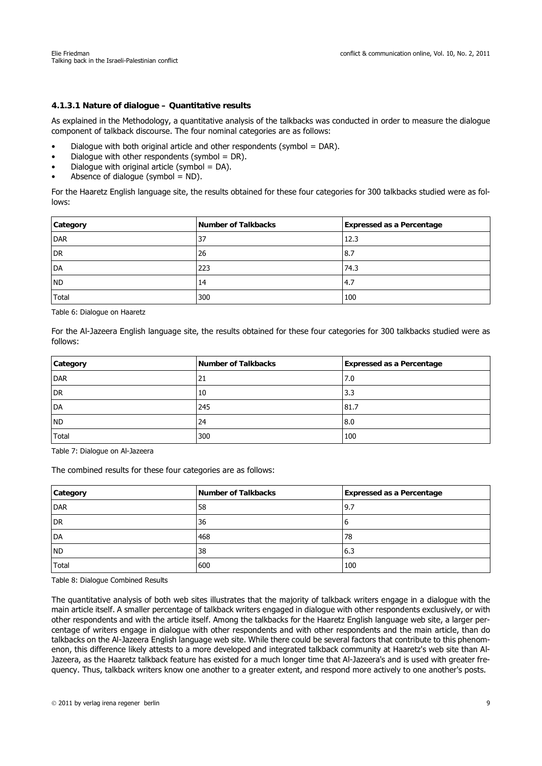## **4.1.3.1 Nature of dialogue – Quantitative results**

As explained in the Methodology, a quantitative analysis of the talkbacks was conducted in order to measure the dialogue component of talkback discourse. The four nominal categories are as follows:

- Dialogue with both original article and other respondents (symbol = DAR).
- Dialogue with other respondents (symbol =  $DR$ ).
- Dialogue with original article (symbol  $=$  DA).
- Absence of dialogue (symbol  $=$  ND).

For the Haaretz English language site, the results obtained for these four categories for 300 talkbacks studied were as follows:

| Category   | Number of Talkbacks | <b>Expressed as a Percentage</b> |
|------------|---------------------|----------------------------------|
| <b>DAR</b> | 37                  | 12.3                             |
| <b>DR</b>  | 26                  | 8.7                              |
| DA         | 223                 | 74.3                             |
| <b>ND</b>  | 14                  | 4.7                              |
| Total      | 300                 | 100                              |

Table 6: Dialogue on Haaretz

For the Al-Jazeera English language site, the results obtained for these four categories for 300 talkbacks studied were as follows:

| Category     | Number of Talkbacks | <b>Expressed as a Percentage</b> |
|--------------|---------------------|----------------------------------|
| DAR          | 21                  | 7.0                              |
| <b>DR</b>    | 10                  | 3.3                              |
| <b>DA</b>    | 245                 | 81.7                             |
| <b>ND</b>    | 24                  | 8.0                              |
| <b>Total</b> | 300                 | 100                              |

Table 7: Dialogue on Al-Jazeera

The combined results for these four categories are as follows:

| Category  | Number of Talkbacks | <b>Expressed as a Percentage</b> |
|-----------|---------------------|----------------------------------|
| DAR       | 58                  | 9.7                              |
| DR        | 36                  | O                                |
| <b>DA</b> | 468                 | 78                               |
| <b>ND</b> | 38                  | 6.3                              |
| Total     | 600                 | 100                              |

Table 8: Dialogue Combined Results

The quantitative analysis of both web sites illustrates that the majority of talkback writers engage in a dialogue with the main article itself. A smaller percentage of talkback writers engaged in dialogue with other respondents exclusively, or with other respondents and with the article itself. Among the talkbacks for the Haaretz English language web site, a larger percentage of writers engage in dialogue with other respondents and with other respondents and the main article, than do talkbacks on the Al-Jazeera English language web site. While there could be several factors that contribute to this phenomenon, this difference likely attests to a more developed and integrated talkback community at Haaretz's web site than Al-Jazeera, as the Haaretz talkback feature has existed for a much longer time that Al-Jazeera's and is used with greater frequency. Thus, talkback writers know one another to a greater extent, and respond more actively to one another's posts.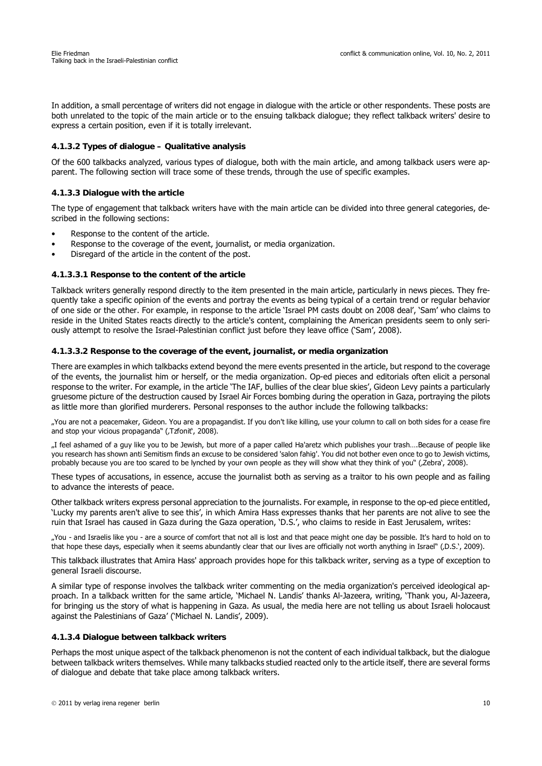In addition, a small percentage of writers did not engage in dialogue with the article or other respondents. These posts are both unrelated to the topic of the main article or to the ensuing talkback dialogue; they reflect talkback writers' desire to express a certain position, even if it is totally irrelevant.

## **4.1.3.2 Types of dialogue – Qualitative analysis**

Of the 600 talkbacks analyzed, various types of dialogue, both with the main article, and among talkback users were apparent. The following section will trace some of these trends, through the use of specific examples.

## **4.1.3.3 Dialogue with the article**

The type of engagement that talkback writers have with the main article can be divided into three general categories, described in the following sections:

- Response to the content of the article.
- Response to the coverage of the event, journalist, or media organization.
- Disregard of the article in the content of the post.

#### **4.1.3.3.1 Response to the content of the article**

Talkback writers generally respond directly to the item presented in the main article, particularly in news pieces. They frequently take a specific opinion of the events and portray the events as being typical of a certain trend or regular behavior of one side or the other. For example, in response to the article 'Israel PM casts doubt on 2008 deal', 'Sam' who claims to reside in the United States reacts directly to the article's content, complaining the American presidents seem to only seriously attempt to resolve the Israel-Palestinian conflict just before they leave office ('Sam', 2008).

#### **4.1.3.3.2 Response to the coverage of the event, journalist, or media organization**

There are examples in which talkbacks extend beyond the mere events presented in the article, but respond to the coverage of the events, the journalist him or herself, or the media organization. Op-ed pieces and editorials often elicit a personal response to the writer. For example, in the article 'The IAF, bullies of the clear blue skies', Gideon Levy paints a particularly gruesome picture of the destruction caused by Israel Air Forces bombing during the operation in Gaza, portraying the pilots as little more than glorified murderers. Personal responses to the author include the following talkbacks:

"You are not a peacemaker, Gideon. You are a propagandist. If you don't like killing, use your column to call on both sides for a cease fire and stop your vicious propaganda" (,Tzfonit', 2008).

"I feel ashamed of a guy like you to be Jewish, but more of a paper called Ha'aretz which publishes your trash….Because of people like you research has shown anti Semitism finds an excuse to be considered 'salon fahig'. You did not bother even once to go to Jewish victims, probably because you are too scared to be lynched by your own people as they will show what they think of you" (Zebra', 2008).

These types of accusations, in essence, accuse the journalist both as serving as a traitor to his own people and as failing to advance the interests of peace.

Other talkback writers express personal appreciation to the journalists. For example, in response to the op-ed piece entitled, 'Lucky my parents aren't alive to see this', in which Amira Hass expresses thanks that her parents are not alive to see the ruin that Israel has caused in Gaza during the Gaza operation, 'D.S.', who claims to reside in East Jerusalem, writes:

"You - and Israelis like you - are a source of comfort that not all is lost and that peace might one day be possible. It's hard to hold on to that hope these days, especially when it seems abundantly clear that our lives are officially not worth anything in Israel" ('D.S.', 2009).

This talkback illustrates that Amira Hass' approach provides hope for this talkback writer, serving as a type of exception to general Israeli discourse.

A similar type of response involves the talkback writer commenting on the media organization's perceived ideological approach. In a talkback written for the same article, 'Michael N. Landis' thanks Al-Jazeera, writing, 'Thank you, Al-Jazeera, for bringing us the story of what is happening in Gaza. As usual, the media here are not telling us about Israeli holocaust against the Palestinians of Gaza' ('Michael N. Landis', 2009).

#### **4.1.3.4 Dialogue between talkback writers**

Perhaps the most unique aspect of the talkback phenomenon is not the content of each individual talkback, but the dialogue between talkback writers themselves. While many talkbacks studied reacted only to the article itself, there are several forms of dialogue and debate that take place among talkback writers.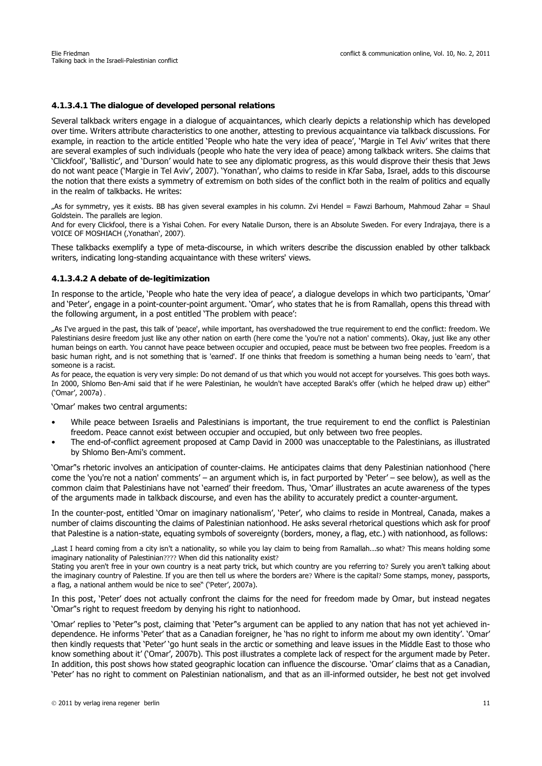# **4.1.3.4.1 The dialogue of developed personal relations**

Several talkback writers engage in a dialogue of acquaintances, which clearly depicts a relationship which has developed over time. Writers attribute characteristics to one another, attesting to previous acquaintance via talkback discussions. For example, in reaction to the article entitled 'People who hate the very idea of peace', 'Margie in Tel Aviv' writes that there are several examples of such individuals (people who hate the very idea of peace) among talkback writers. She claims that 'Clickfool', 'Ballistic', and 'Durson' would hate to see any diplomatic progress, as this would disprove their thesis that Jews do not want peace ('Margie in Tel Aviv', 2007). 'Yonathan', who claims to reside in Kfar Saba, Israel, adds to this discourse the notion that there exists a symmetry of extremism on both sides of the conflict both in the realm of politics and equally in the realm of talkbacks. He writes:

"As for symmetry, yes it exists. BB has given several examples in his column. Zvi Hendel = Fawzi Barhoum, Mahmoud Zahar = Shaul Goldstein. The parallels are legion.

And for every Clickfool, there is a Yishai Cohen. For every Natalie Durson, there is an Absolute Sweden. For every Indrajaya, there is a VOICE OF MOSHIACH (, Yonathan', 2007).

These talkbacks exemplify a type of meta-discourse, in which writers describe the discussion enabled by other talkback writers, indicating long-standing acquaintance with these writers' views.

#### **4.1.3.4.2 A debate of de-legitimization**

In response to the article, 'People who hate the very idea of peace', a dialogue develops in which two participants, 'Omar' and 'Peter', engage in a point-counter-point argument. 'Omar', who states that he is from Ramallah, opens this thread with the following argument, in a post entitled 'The problem with peace':

"As I've argued in the past, this talk of 'peace', while important, has overshadowed the true requirement to end the conflict: freedom. We Palestinians desire freedom just like any other nation on earth (here come the 'you're not a nation' comments). Okay, just like any other human beings on earth. You cannot have peace between occupier and occupied, peace must be between two free peoples. Freedom is a basic human right, and is not something that is 'earned'. If one thinks that freedom is something a human being needs to 'earn', that someone is a racist.

As for peace, the equation is very very simple: Do not demand of us that which you would not accept for yourselves. This goes both ways. In 2000, Shlomo Ben-Ami said that if he were Palestinian, he wouldn't have accepted Barak's offer (which he helped draw up) either" ('Omar', 2007a) .

'Omar' makes two central arguments:

- While peace between Israelis and Palestinians is important, the true requirement to end the conflict is Palestinian freedom. Peace cannot exist between occupier and occupied, but only between two free peoples.
- The end-of-conflict agreement proposed at Camp David in 2000 was unacceptable to the Palestinians, as illustrated by Shlomo Ben-Ami's comment.

'Omar''s rhetoric involves an anticipation of counter-claims. He anticipates claims that deny Palestinian nationhood ('here come the 'you're not a nation' comments' – an argument which is, in fact purported by 'Peter' – see below), as well as the common claim that Palestinians have not 'earned' their freedom. Thus, 'Omar' illustrates an acute awareness of the types of the arguments made in talkback discourse, and even has the ability to accurately predict a counter-argument.

In the counter-post, entitled 'Omar on imaginary nationalism', 'Peter', who claims to reside in Montreal, Canada, makes a number of claims discounting the claims of Palestinian nationhood. He asks several rhetorical questions which ask for proof that Palestine is a nation-state, equating symbols of sovereignty (borders, money, a flag, etc.) with nationhood, as follows:

"Last I heard coming from a city isn't a nationality, so while you lay claim to being from Ramallah...so what? This means holding some imaginary nationality of Palestinian???? When did this nationality exist?

Stating you aren't free in your own country is a neat party trick, but which country are you referring to? Surely you aren't talking about the imaginary country of Palestine. If you are then tell us where the borders are? Where is the capital? Some stamps, money, passports, a flag, a national anthem would be nice to see" ('Peter', 2007a).

In this post, 'Peter' does not actually confront the claims for the need for freedom made by Omar, but instead negates 'Omar''s right to request freedom by denying his right to nationhood.

'Omar' replies to 'Peter''s post, claiming that 'Peter''s argument can be applied to any nation that has not yet achieved independence. He informs 'Peter' that as a Canadian foreigner, he 'has no right to inform me about my own identity'. 'Omar' then kindly requests that 'Peter' 'go hunt seals in the arctic or something and leave issues in the Middle East to those who know something about it' ('Omar', 2007b). This post illustrates a complete lack of respect for the argument made by Peter. In addition, this post shows how stated geographic location can influence the discourse. 'Omar' claims that as a Canadian, 'Peter' has no right to comment on Palestinian nationalism, and that as an ill-informed outsider, he best not get involved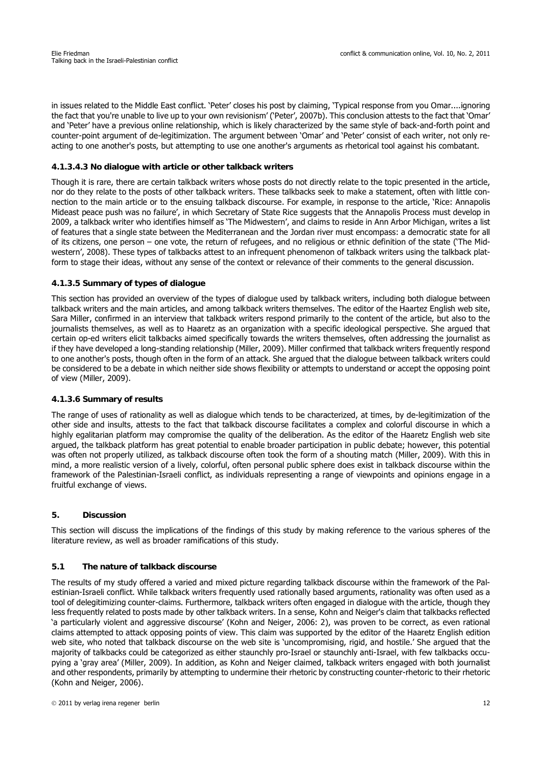in issues related to the Middle East conflict. 'Peter' closes his post by claiming, 'Typical response from you Omar....ignoring the fact that you're unable to live up to your own revisionism' ('Peter', 2007b). This conclusion attests to the fact that 'Omar' and 'Peter' have a previous online relationship, which is likely characterized by the same style of back-and-forth point and counter-point argument of de-legitimization. The argument between 'Omar' and 'Peter' consist of each writer, not only reacting to one another's posts, but attempting to use one another's arguments as rhetorical tool against his combatant.

# **4.1.3.4.3 No dialogue with article or other talkback writers**

Though it is rare, there are certain talkback writers whose posts do not directly relate to the topic presented in the article, nor do they relate to the posts of other talkback writers. These talkbacks seek to make a statement, often with little connection to the main article or to the ensuing talkback discourse. For example, in response to the article, 'Rice: Annapolis Mideast peace push was no failure', in which Secretary of State Rice suggests that the Annapolis Process must develop in 2009, a talkback writer who identifies himself as 'The Midwestern', and claims to reside in Ann Arbor Michigan, writes a list of features that a single state between the Mediterranean and the Jordan river must encompass: a democratic state for all of its citizens, one person – one vote, the return of refugees, and no religious or ethnic definition of the state ('The Midwestern', 2008). These types of talkbacks attest to an infrequent phenomenon of talkback writers using the talkback platform to stage their ideas, without any sense of the context or relevance of their comments to the general discussion.

# **4.1.3.5 Summary of types of dialogue**

This section has provided an overview of the types of dialogue used by talkback writers, including both dialogue between talkback writers and the main articles, and among talkback writers themselves. The editor of the Haartez English web site, Sara Miller, confirmed in an interview that talkback writers respond primarily to the content of the article, but also to the journalists themselves, as well as to Haaretz as an organization with a specific ideological perspective. She argued that certain op-ed writers elicit talkbacks aimed specifically towards the writers themselves, often addressing the journalist as if they have developed a long-standing relationship (Miller, 2009). Miller confirmed that talkback writers frequently respond to one another's posts, though often in the form of an attack. She argued that the dialogue between talkback writers could be considered to be a debate in which neither side shows flexibility or attempts to understand or accept the opposing point of view (Miller, 2009).

# **4.1.3.6 Summary of results**

The range of uses of rationality as well as dialogue which tends to be characterized, at times, by de-legitimization of the other side and insults, attests to the fact that talkback discourse facilitates a complex and colorful discourse in which a highly egalitarian platform may compromise the quality of the deliberation. As the editor of the Haaretz English web site argued, the talkback platform has great potential to enable broader participation in public debate; however, this potential was often not properly utilized, as talkback discourse often took the form of a shouting match (Miller, 2009). With this in mind, a more realistic version of a lively, colorful, often personal public sphere does exist in talkback discourse within the framework of the Palestinian-Israeli conflict, as individuals representing a range of viewpoints and opinions engage in a fruitful exchange of views.

# **5. Discussion**

This section will discuss the implications of the findings of this study by making reference to the various spheres of the literature review, as well as broader ramifications of this study.

# **5.1 The nature of talkback discourse**

The results of my study offered a varied and mixed picture regarding talkback discourse within the framework of the Palestinian-Israeli conflict. While talkback writers frequently used rationally based arguments, rationality was often used as a tool of delegitimizing counter-claims. Furthermore, talkback writers often engaged in dialogue with the article, though they less frequently related to posts made by other talkback writers. In a sense, Kohn and Neiger's claim that talkbacks reflected 'a particularly violent and aggressive discourse' (Kohn and Neiger, 2006: 2), was proven to be correct, as even rational claims attempted to attack opposing points of view. This claim was supported by the editor of the Haaretz English edition web site, who noted that talkback discourse on the web site is 'uncompromising, rigid, and hostile.' She argued that the majority of talkbacks could be categorized as either staunchly pro-Israel or staunchly anti-Israel, with few talkbacks occupying a 'gray area' (Miller, 2009). In addition, as Kohn and Neiger claimed, talkback writers engaged with both journalist and other respondents, primarily by attempting to undermine their rhetoric by constructing counter-rhetoric to their rhetoric (Kohn and Neiger, 2006).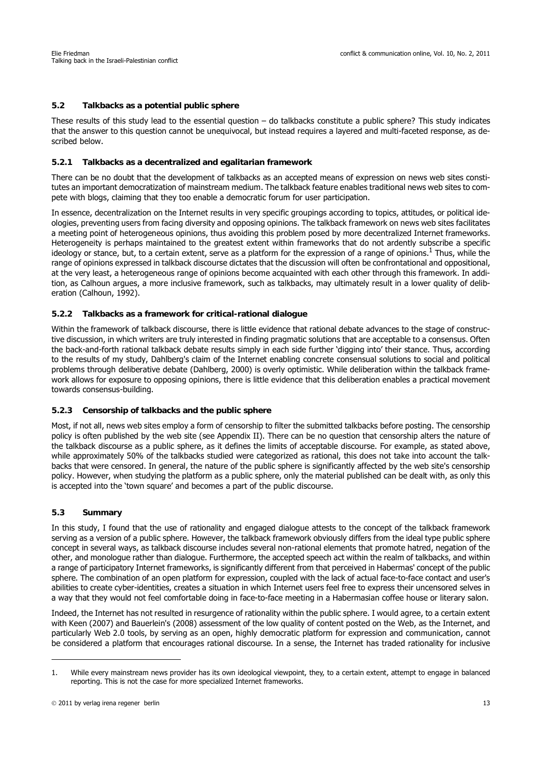# **5.2 Talkbacks as a potential public sphere**

These results of this study lead to the essential question  $-$  do talkbacks constitute a public sphere? This study indicates that the answer to this question cannot be unequivocal, but instead requires a layered and multi-faceted response, as described below.

## **5.2.1 Talkbacks as a decentralized and egalitarian framework**

There can be no doubt that the development of talkbacks as an accepted means of expression on news web sites constitutes an important democratization of mainstream medium. The talkback feature enables traditional news web sites to compete with blogs, claiming that they too enable a democratic forum for user participation.

In essence, decentralization on the Internet results in very specific groupings according to topics, attitudes, or political ideologies, preventing users from facing diversity and opposing opinions. The talkback framework on news web sites facilitates a meeting point of heterogeneous opinions, thus avoiding this problem posed by more decentralized Internet frameworks. Heterogeneity is perhaps maintained to the greatest extent within frameworks that do not ardently subscribe a specific ideology or stance, but, to a certain extent, serve as a platform for the expression of a range of opinions.<sup>1</sup> Thus, while the range of opinions expressed in talkback discourse dictates that the discussion will often be confrontational and oppositional, at the very least, a heterogeneous range of opinions become acquainted with each other through this framework. In addition, as Calhoun argues, a more inclusive framework, such as talkbacks, may ultimately result in a lower quality of deliberation (Calhoun, 1992).

## **5.2.2 Talkbacks as a framework for critical-rational dialogue**

Within the framework of talkback discourse, there is little evidence that rational debate advances to the stage of constructive discussion, in which writers are truly interested in finding pragmatic solutions that are acceptable to a consensus. Often the back-and-forth rational talkback debate results simply in each side further 'digging into' their stance. Thus, according to the results of my study, Dahlberg's claim of the Internet enabling concrete consensual solutions to social and political problems through deliberative debate (Dahlberg, 2000) is overly optimistic. While deliberation within the talkback framework allows for exposure to opposing opinions, there is little evidence that this deliberation enables a practical movement towards consensus-building.

#### **5.2.3 Censorship of talkbacks and the public sphere**

Most, if not all, news web sites employ a form of censorship to filter the submitted talkbacks before posting. The censorship policy is often published by the web site (see Appendix II). There can be no question that censorship alters the nature of the talkback discourse as a public sphere, as it defines the limits of acceptable discourse. For example, as stated above, while approximately 50% of the talkbacks studied were categorized as rational, this does not take into account the talkbacks that were censored. In general, the nature of the public sphere is significantly affected by the web site's censorship policy. However, when studying the platform as a public sphere, only the material published can be dealt with, as only this is accepted into the 'town square' and becomes a part of the public discourse.

#### **5.3 Summary**

In this study, I found that the use of rationality and engaged dialogue attests to the concept of the talkback framework serving as a version of a public sphere. However, the talkback framework obviously differs from the ideal type public sphere concept in several ways, as talkback discourse includes several non-rational elements that promote hatred, negation of the other, and monologue rather than dialogue. Furthermore, the accepted speech act within the realm of talkbacks, and within a range of participatory Internet frameworks, is significantly different from that perceived in Habermas' concept of the public sphere. The combination of an open platform for expression, coupled with the lack of actual face-to-face contact and user's abilities to create cyber-identities, creates a situation in which Internet users feel free to express their uncensored selves in a way that they would not feel comfortable doing in face-to-face meeting in a Habermasian coffee house or literary salon.

Indeed, the Internet has not resulted in resurgence of rationality within the public sphere. I would agree, to a certain extent with Keen (2007) and Bauerlein's (2008) assessment of the low quality of content posted on the Web, as the Internet, and particularly Web 2.0 tools, by serving as an open, highly democratic platform for expression and communication, cannot be considered a platform that encourages rational discourse. In a sense, the Internet has traded rationality for inclusive

<sup>1.</sup> While every mainstream news provider has its own ideological viewpoint, they, to a certain extent, attempt to engage in balanced reporting. This is not the case for more specialized Internet frameworks.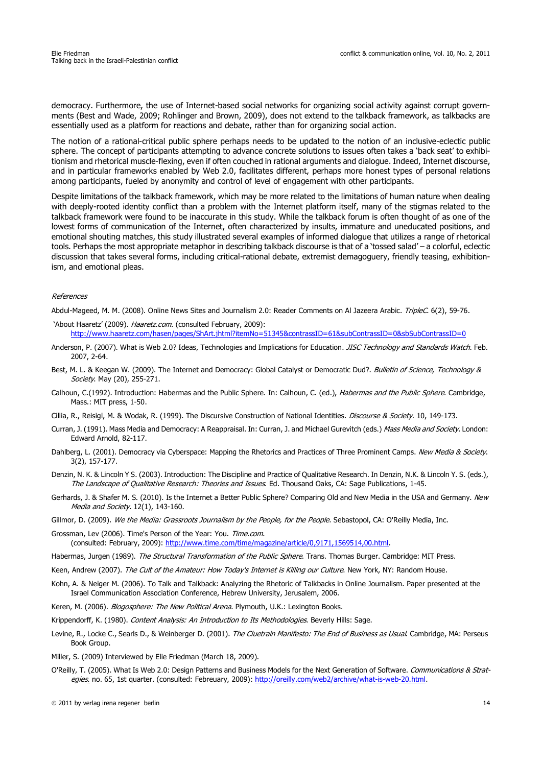democracy. Furthermore, the use of Internet-based social networks for organizing social activity against corrupt governments (Best and Wade, 2009; Rohlinger and Brown, 2009), does not extend to the talkback framework, as talkbacks are essentially used as a platform for reactions and debate, rather than for organizing social action.

The notion of a rational-critical public sphere perhaps needs to be updated to the notion of an inclusive-eclectic public sphere. The concept of participants attempting to advance concrete solutions to issues often takes a 'back seat' to exhibitionism and rhetorical muscle-flexing, even if often couched in rational arguments and dialogue. Indeed, Internet discourse, and in particular frameworks enabled by Web 2.0, facilitates different, perhaps more honest types of personal relations among participants, fueled by anonymity and control of level of engagement with other participants.

Despite limitations of the talkback framework, which may be more related to the limitations of human nature when dealing with deeply-rooted identity conflict than a problem with the Internet platform itself, many of the stigmas related to the talkback framework were found to be inaccurate in this study. While the talkback forum is often thought of as one of the lowest forms of communication of the Internet, often characterized by insults, immature and uneducated positions, and emotional shouting matches, this study illustrated several examples of informed dialogue that utilizes a range of rhetorical tools. Perhaps the most appropriate metaphor in describing talkback discourse is that of a 'tossed salad' – a colorful, eclectic discussion that takes several forms, including critical-rational debate, extremist demagoguery, friendly teasing, exhibitionism, and emotional pleas.

#### References

Abdul-Mageed, M. M. (2008). Online News Sites and Journalism 2.0: Reader Comments on Al Jazeera Arabic. TripleC. 6(2), 59-76.

- 'About Haaretz' (2009). Haaretz.com. (consulted February, 2009): http://www.haaretz.com/hasen/pages/ShArt.jhtml?itemNo=51345&contrassID=61&subContrassID=0&sbSubContrassID=0
- Anderson, P. (2007). What is Web 2.0? Ideas, Technologies and Implications for Education. JISC Technology and Standards Watch. Feb. 2007, 2-64.
- Best, M. L. & Keegan W. (2009). The Internet and Democracy: Global Catalyst or Democratic Dud?. Bulletin of Science, Technology & Society. May (20), 255-271.
- Calhoun, C.(1992). Introduction: Habermas and the Public Sphere. In: Calhoun, C. (ed.), Habermas and the Public Sphere. Cambridge, Mass.: MIT press, 1-50.
- Cillia, R., Reisigl, M. & Wodak, R. (1999). The Discursive Construction of National Identities. *Discourse & Society*. 10, 149-173.
- Curran, J. (1991). Mass Media and Democracy: A Reappraisal. In: Curran, J. and Michael Gurevitch (eds.) Mass Media and Society. London: Edward Arnold, 82-117.
- Dahlberg, L. (2001). Democracy via Cyberspace: Mapping the Rhetorics and Practices of Three Prominent Camps. New Media & Society. 3(2), 157-177.
- Denzin, N. K. & Lincoln Y S. (2003). Introduction: The Discipline and Practice of Qualitative Research. In Denzin, N.K. & Lincoln Y. S. (eds.), The Landscape of Qualitative Research: Theories and Issues. Ed. Thousand Oaks, CA: Sage Publications, 1-45.
- Gerhards, J. & Shafer M. S. (2010). Is the Internet a Better Public Sphere? Comparing Old and New Media in the USA and Germany. New Media and Society. 12(1), 143-160.
- Gillmor, D. (2009). We the Media: Grassroots Journalism by the People, for the People. Sebastopol, CA: O'Reilly Media, Inc.
- Grossman, Lev (2006). Time's Person of the Year: You. Time.com. (consulted: February, 2009): http://www.time.com/time/magazine/article/0,9171,1569514,00.html.
- Habermas, Jurgen (1989). The Structural Transformation of the Public Sphere. Trans. Thomas Burger. Cambridge: MIT Press.
- Keen, Andrew (2007). The Cult of the Amateur: How Today's Internet is Killing our Culture. New York, NY: Random House.
- Kohn, A. & Neiger M. (2006). To Talk and Talkback: Analyzing the Rhetoric of Talkbacks in Online Journalism. Paper presented at the Israel Communication Association Conference, Hebrew University, Jerusalem, 2006.
- Keren, M. (2006). Blogosphere: The New Political Arena. Plymouth, U.K.: Lexington Books.
- Krippendorff, K. (1980). Content Analysis: An Introduction to Its Methodologies. Beverly Hills: Sage.
- Levine, R., Locke C., Searls D., & Weinberger D. (2001). The Cluetrain Manifesto: The End of Business as Usual. Cambridge, MA: Perseus Book Group.
- Miller, S. (2009) Interviewed by Elie Friedman (March 18, 2009).
- O'Reilly, T. (2005). What Is Web 2.0: Design Patterns and Business Models for the Next Generation of Software. Communications & Strategies. no. 65, 1st quarter. (consulted: Febreuary, 2009): http://oreilly.com/web2/archive/what-is-web-20.html.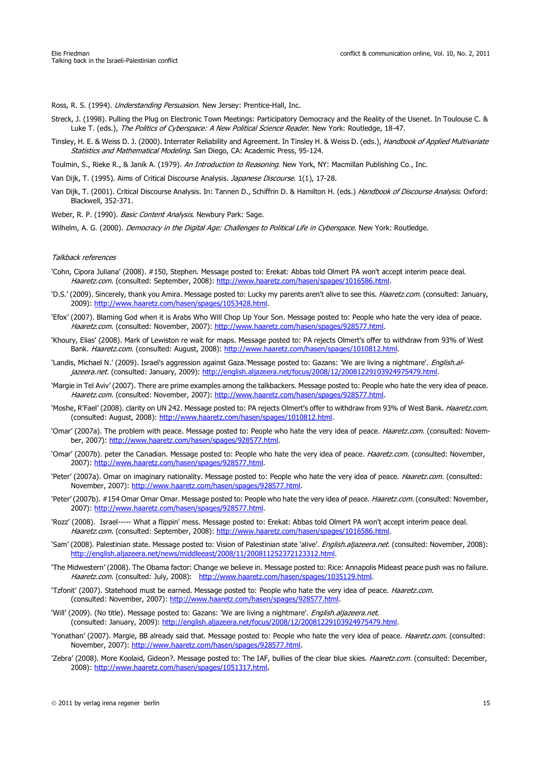Ross, R. S. (1994). *Understanding Persuasion*. New Jersey: Prentice-Hall, Inc.

- Streck, J. (1998). Pulling the Plug on Electronic Town Meetings: Participatory Democracy and the Reality of the Usenet. In Toulouse C. & Luke T. (eds.), The Politics of Cyberspace: A New Political Science Reader. New York: Routledge, 18-47.
- Tinsley, H. E. & Weiss D. J. (2000). Interrater Reliability and Agreement. In Tinsley H. & Weiss D. (eds.), Handbook of Applied Multivariate Statistics and Mathematical Modeling. San Diego, CA: Academic Press, 95-124.
- Toulmin, S., Rieke R., & Janik A. (1979). An Introduction to Reasoning. New York, NY: Macmillan Publishing Co., Inc.
- Van Dijk, T. (1995). Aims of Critical Discourse Analysis. Japanese Discourse. 1(1), 17-28.
- Van Dijk, T. (2001). Critical Discourse Analysis. In: Tannen D., Schiffrin D. & Hamilton H. (eds.) Handbook of Discourse Analysis. Oxford: Blackwell, 352-371.
- Weber, R. P. (1990). Basic Content Analysis. Newbury Park: Sage.

Wilhelm, A. G. (2000). Democracy in the Digital Age: Challenges to Political Life in Cyberspace. New York: Routledge.

#### Talkback references

- 'Cohn, Cipora Juliana' (2008). #150, Stephen. Message posted to: Erekat: Abbas told Olmert PA won't accept interim peace deal. Haaretz.com. (consulted: September, 2008): http://www.haaretz.com/hasen/spages/1016586.html.
- 'D.S.' (2009). Sincerely, thank you Amira. Message posted to: Lucky my parents aren't alive to see this. Haaretz.com. (consulted: January, 2009): http://www.haaretz.com/hasen/spages/1053428.html.
- 'Efox' (2007). Blaming God when it is Arabs Who Will Chop Up Your Son. Message posted to: People who hate the very idea of peace. Haaretz.com. (consulted: November, 2007): http://www.haaretz.com/hasen/spages/928577.html.
- 'Khoury, Elias' (2008). Mark of Lewiston re wait for maps. Message posted to: PA rejects Olmert's offer to withdraw from 93% of West Bank. Haaretz.com. (consulted: August, 2008): http://www.haaretz.com/hasen/spages/1010812.html.
- 'Landis, Michael N.' (2009). Israel's aggression against Gaza.'Message posted to: Gazans: 'We are living a nightmare'. English.aljazeera.net. (consulted: January, 2009): http://english.aljazeera.net/focus/2008/12/20081229103924975479.html.
- 'Margie in Tel Aviv' (2007). There are prime examples among the talkbackers. Message posted to: People who hate the very idea of peace. Haaretz.com. (consulted: November, 2007): http://www.haaretz.com/hasen/spages/928577.html.
- 'Moshe, R'Fael' (2008). clarity on UN 242. Message posted to: PA rejects Olmert's offer to withdraw from 93% of West Bank. Haaretz.com. (consulted: August, 2008): http://www.haaretz.com/hasen/spages/1010812.html.
- 'Omar' (2007a). The problem with peace. Message posted to: People who hate the very idea of peace. Haaretz.com. (consulted: November, 2007): http://www.haaretz.com/hasen/spages/928577.html.
- 'Omar' (2007b). peter the Canadian. Message posted to: People who hate the very idea of peace. Haaretz.com. (consulted: November, 2007): http://www.haaretz.com/hasen/spages/928577.html.
- 'Peter' (2007a). Omar on imaginary nationality. Message posted to: People who hate the very idea of peace. Haaretz.com. (consulted: November, 2007): http://www.haaretz.com/hasen/spages/928577.html.
- 'Peter' (2007b). #154 Omar Omar Omar. Message posted to: People who hate the very idea of peace. Haaretz.com. (consulted: November, 2007): http://www.haaretz.com/hasen/spages/928577.html.
- 'Rozz' (2008). Israel----- What a flippin' mess. Message posted to: Erekat: Abbas told Olmert PA won't accept interim peace deal. Haaretz.com. (consulted: September, 2008): http://www.haaretz.com/hasen/spages/1016586.html.
- 'Sam' (2008). Palestinian state. Message posted to: Vision of Palestinian state 'alive'. *English.aliazeera.net.* (consulted: November, 2008): http://english.aljazeera.net/news/middleeast/2008/11/200811252372123312.html.
- 'The Midwestern' (2008). The Obama factor: Change we believe in. Message posted to: Rice: Annapolis Mideast peace push was no failure. Haaretz.com. (consulted: July, 2008): http://www.haaretz.com/hasen/spages/1035129.html.
- 'Tzfonit' (2007). Statehood must be earned. Message posted to: People who hate the very idea of peace. Haaretz.com. (consulted: November, 2007): http://www.haaretz.com/hasen/spages/928577.html.
- 'Will' (2009). (No title). Message posted to: Gazans: 'We are living a nightmare'. *English.aljazeera.net.* (consulted: January, 2009): http://english.aljazeera.net/focus/2008/12/20081229103924975479.html.
- 'Yonathan' (2007). Margie, BB already said that. Message posted to: People who hate the very idea of peace. Haaretz.com. (consulted: November, 2007): http://www.haaretz.com/hasen/spages/928577.html.
- 'Zebra' (2008). More Koolaid, Gideon?. Message posted to: The IAF, bullies of the clear blue skies. Haaretz.com. (consulted: December, 2008): http://www.haaretz.com/hasen/spages/1051317.html.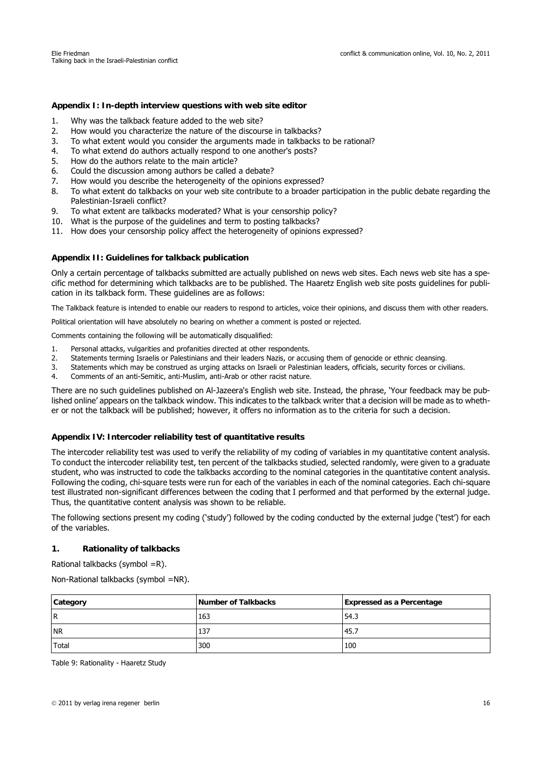### **Appendix I: In-depth interview questions with web site editor**

- 1. Why was the talkback feature added to the web site?
- 2. How would you characterize the nature of the discourse in talkbacks?
- 3. To what extent would you consider the arguments made in talkbacks to be rational?
- 4. To what extend do authors actually respond to one another's posts?
- 5. How do the authors relate to the main article?
- 6. Could the discussion among authors be called a debate?
- 7. How would you describe the heterogeneity of the opinions expressed?
- 8. To what extent do talkbacks on your web site contribute to a broader participation in the public debate regarding the Palestinian-Israeli conflict?
- 9. To what extent are talkbacks moderated? What is your censorship policy?
- 10. What is the purpose of the guidelines and term to posting talkbacks?
- 11. How does your censorship policy affect the heterogeneity of opinions expressed?

#### **Appendix II: Guidelines for talkback publication**

Only a certain percentage of talkbacks submitted are actually published on news web sites. Each news web site has a specific method for determining which talkbacks are to be published. The Haaretz English web site posts guidelines for publication in its talkback form. These guidelines are as follows:

The Talkback feature is intended to enable our readers to respond to articles, voice their opinions, and discuss them with other readers.

Political orientation will have absolutely no bearing on whether a comment is posted or rejected.

Comments containing the following will be automatically disqualified:

- 1. Personal attacks, vulgarities and profanities directed at other respondents.
- 2. Statements terming Israelis or Palestinians and their leaders Nazis, or accusing them of genocide or ethnic cleansing.
- 3. Statements which may be construed as urging attacks on Israeli or Palestinian leaders, officials, security forces or civilians.
- 4. Comments of an anti-Semitic, anti-Muslim, anti-Arab or other racist nature.

There are no such guidelines published on Al-Jazeera's English web site. Instead, the phrase, 'Your feedback may be published online' appears on the talkback window. This indicates to the talkback writer that a decision will be made as to whether or not the talkback will be published; however, it offers no information as to the criteria for such a decision.

#### **Appendix IV: Intercoder reliability test of quantitative results**

The intercoder reliability test was used to verify the reliability of my coding of variables in my quantitative content analysis. To conduct the intercoder reliability test, ten percent of the talkbacks studied, selected randomly, were given to a graduate student, who was instructed to code the talkbacks according to the nominal categories in the quantitative content analysis. Following the coding, chi-square tests were run for each of the variables in each of the nominal categories. Each chi-square test illustrated non-significant differences between the coding that I performed and that performed by the external judge. Thus, the quantitative content analysis was shown to be reliable.

The following sections present my coding ('study') followed by the coding conducted by the external judge ('test') for each of the variables.

#### **1. Rationality of talkbacks**

Rational talkbacks (symbol =R).

Non-Rational talkbacks (symbol =NR).

| Category  | Number of Talkbacks | <b>Expressed as a Percentage</b> |
|-----------|---------------------|----------------------------------|
| <b>R</b>  | 163                 | 54.3                             |
| <b>NR</b> | 137                 | 45.7                             |
| Total     | 300                 | 100                              |

Table 9: Rationality - Haaretz Study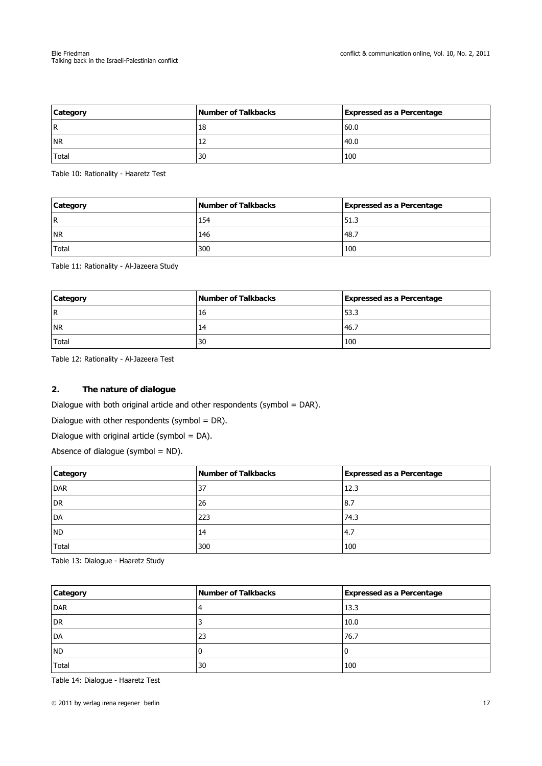| Category  | Number of Talkbacks | <b>Expressed as a Percentage</b> |
|-----------|---------------------|----------------------------------|
| <b>R</b>  | 18                  | 60.0                             |
| <b>NR</b> | ᅭ                   | 40.0                             |
| Total     | 30                  | 100                              |

Table 10: Rationality - Haaretz Test

| Category  | Number of Talkbacks | <b>Expressed as a Percentage</b> |
|-----------|---------------------|----------------------------------|
| l R       | 154                 | 51.3                             |
| <b>NR</b> | 146                 | 48.7                             |
| Total     | 300                 | 100                              |

Table 11: Rationality - Al-Jazeera Study

| Category  | Number of Talkbacks | <b>Expressed as a Percentage</b> |
|-----------|---------------------|----------------------------------|
| IR.       | 16                  | 53.3                             |
| <b>NR</b> |                     | -46.7                            |
| Total     | 30                  | 100                              |

Table 12: Rationality - Al-Jazeera Test

# **2. The nature of dialogue**

Dialogue with both original article and other respondents (symbol = DAR).

Dialogue with other respondents (symbol = DR).

Dialogue with original article (symbol = DA).

Absence of dialogue (symbol  $=$  ND).

| Category  | Number of Talkbacks | <b>Expressed as a Percentage</b> |
|-----------|---------------------|----------------------------------|
| DAR       | 37                  | 12.3                             |
| DR        | 26                  | 8.7                              |
| DA        | 223                 | 74.3                             |
| <b>ND</b> | 14                  | 4.7                              |
| Total     | 300                 | 100                              |

Table 13: Dialogue - Haaretz Study

| Category     | Number of Talkbacks | <b>Expressed as a Percentage</b> |
|--------------|---------------------|----------------------------------|
| <b>DAR</b>   |                     | 13.3                             |
| <b>DR</b>    |                     | 10.0                             |
| DA           | 23                  | 76.7                             |
| <b>ND</b>    |                     | 0                                |
| <b>Total</b> | 30                  | 100                              |

Table 14: Dialogue - Haaretz Test